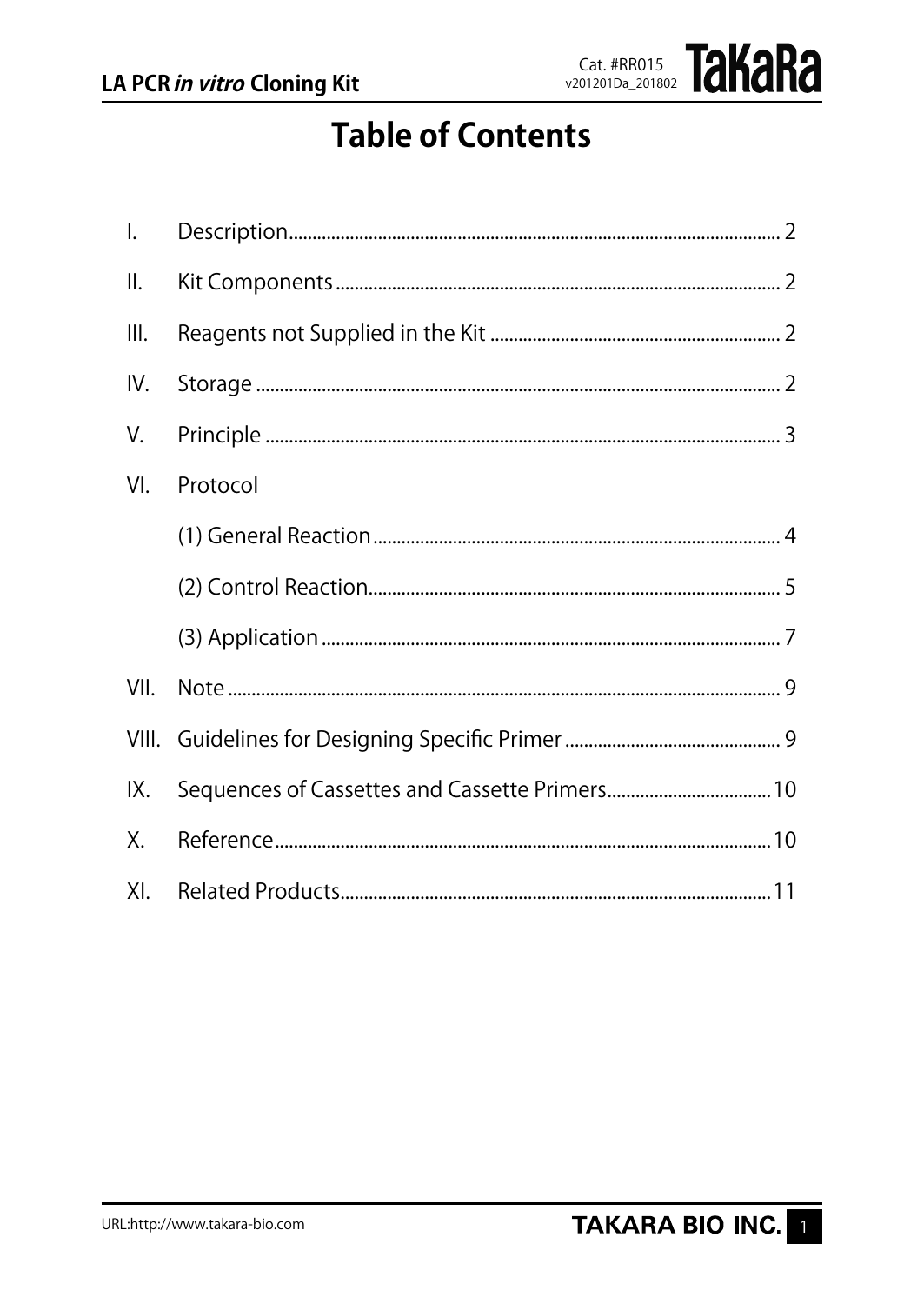

# **Table of Contents**

| $\mathsf{l}$ . |          |
|----------------|----------|
| Ⅱ.             |          |
| Ш.             |          |
| IV.            |          |
| V.             |          |
| VI.            | Protocol |
|                |          |
|                |          |
|                |          |
| VII.           |          |
|                |          |
| IX.            |          |
| Х.             |          |
| XI.            |          |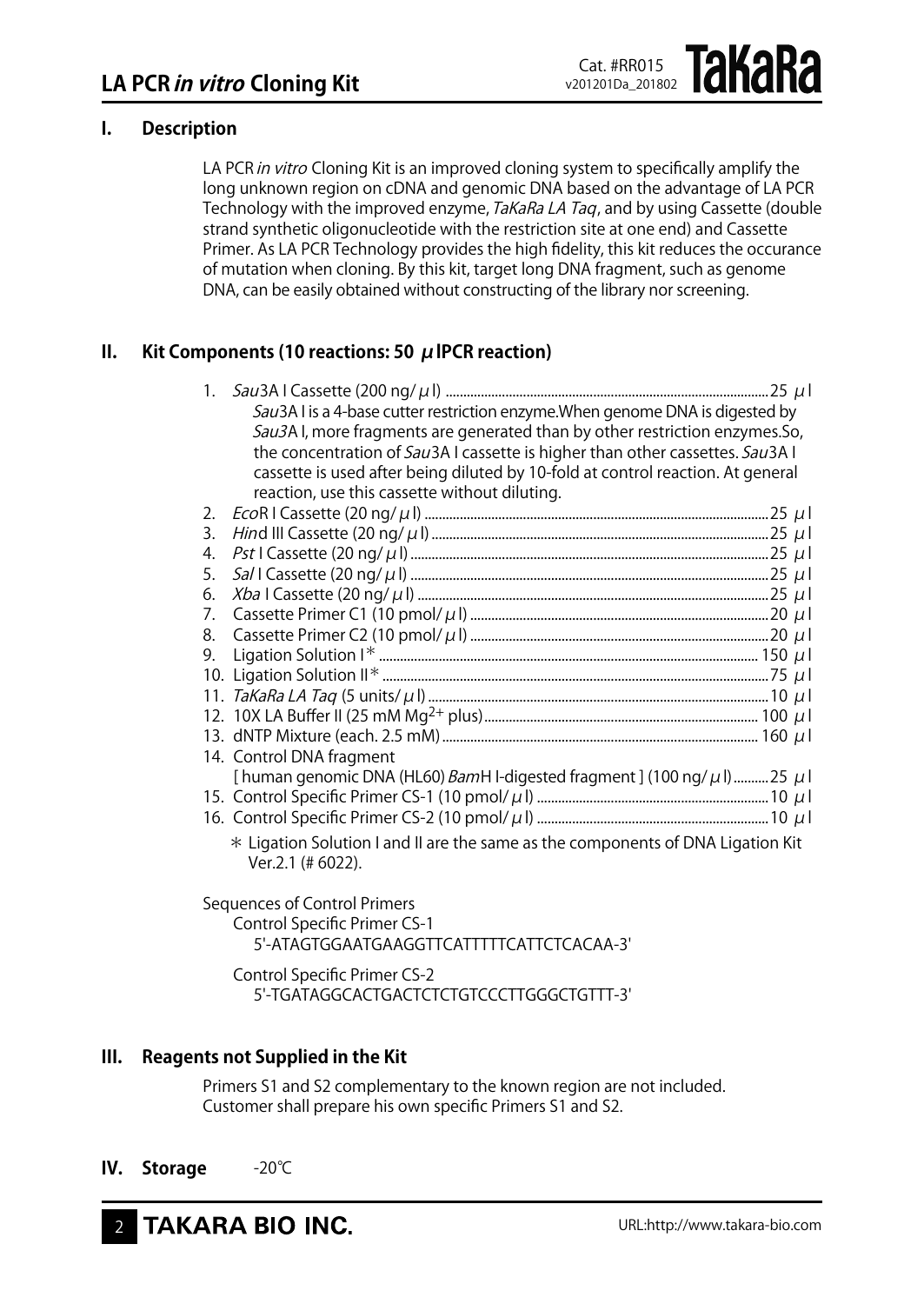## **I. Description**

LA PCR in vitro Cloning Kit is an improved cloning system to specifically amplify the long unknown region on cDNA and genomic DNA based on the advantage of LA PCR Technology with the improved enzyme, TaKaRa LA Taq, and by using Cassette (double strand synthetic oligonucleotide with the restriction site at one end) and Cassette Primer. As LA PCR Technology provides the high fidelity, this kit reduces the occurance of mutation when cloning. By this kit, target long DNA fragment, such as genome DNA, can be easily obtained without constructing of the library nor screening.

## **II. Kit Components (10 reactions: 50 μlPCR reaction)**

| 1. |                                                                                                      |
|----|------------------------------------------------------------------------------------------------------|
|    | Sau3A I is a 4-base cutter restriction enzyme. When genome DNA is digested by                        |
|    | Sau3AI, more fragments are generated than by other restriction enzymes. So,                          |
|    | the concentration of Sau3A I cassette is higher than other cassettes. Sau3A I                        |
|    | cassette is used after being diluted by 10-fold at control reaction. At general                      |
|    | reaction, use this cassette without diluting.                                                        |
| 2. |                                                                                                      |
| 3. |                                                                                                      |
| 4. |                                                                                                      |
| 5. |                                                                                                      |
| 6. |                                                                                                      |
| 7. |                                                                                                      |
| 8. |                                                                                                      |
| 9. |                                                                                                      |
|    |                                                                                                      |
|    |                                                                                                      |
|    |                                                                                                      |
|    |                                                                                                      |
|    | 14. Control DNA fragment                                                                             |
|    | [human genomic DNA (HL60) BamH I-digested fragment ] (100 ng/ $\mu$ l)  25 $\mu$ l                   |
|    |                                                                                                      |
|    |                                                                                                      |
|    | * Ligation Solution I and II are the same as the components of DNA Ligation Kit<br>Ver.2.1 (# 6022). |
|    |                                                                                                      |

Sequences of Control Primers Control Specific Primer CS-1 5'-ATAGTGGAATGAAGGTTCATTTTTCATTCTCACAA-3'

 Control Specific Primer CS-2 5'-TGATAGGCACTGACTCTCTGTCCCTTGGGCTGTTT-3'

## **III. Reagents not Supplied in the Kit**

Primers S1 and S2 complementary to the known region are not included. Customer shall prepare his own specific Primers S1 and S2.

**IV. Storage** -20℃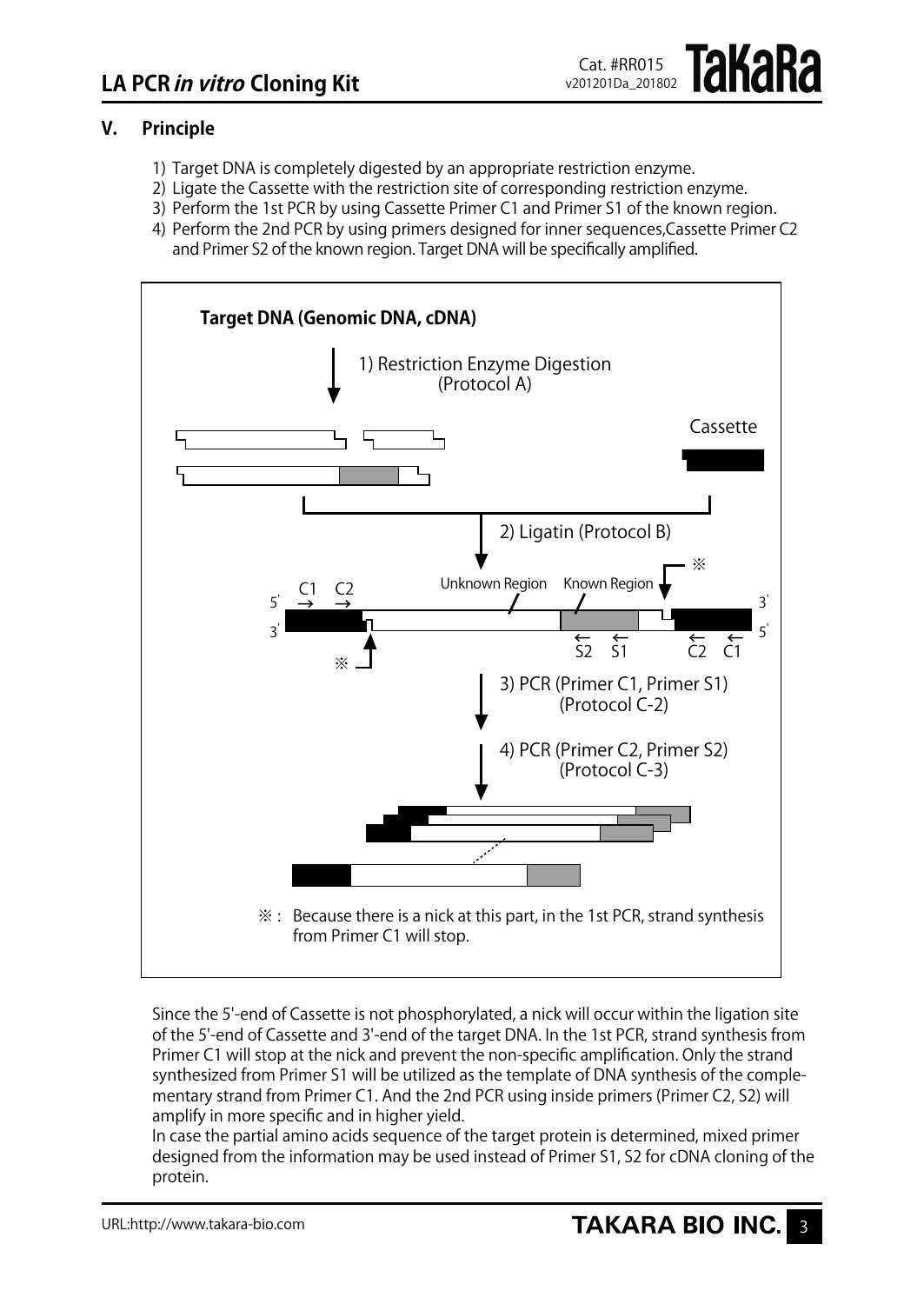

## **V. Principle**

- 1) Target DNA is completely digested by an appropriate restriction enzyme.
- 2) Ligate the Cassette with the restriction site of corresponding restriction enzyme.
- 3) Perform the 1st PCR by using Cassette Primer C1 and Primer S1 of the known region.
- 4) Perform the 2nd PCR by using primers designed for inner sequences, Cassette Primer C2 and Primer S2 of the known region. Target DNA will be specifically amplified.



Since the 5'-end of Cassette is not phosphorylated, a nick will occur within the ligation site of the 5'-end of Cassette and 3'-end of the target DNA. In the 1st PCR, strand synthesis from Primer C1 will stop at the nick and prevent the non-specific amplification. Only the strand synthesized from Primer S1 will be utilized as the template of DNA synthesis of the complementary strand from Primer C1. And the 2nd PCR using inside primers (Primer C2, S2) will amplify in more specific and in higher yield.

In case the partial amino acids sequence of the target protein is determined, mixed primer designed from the information may be used instead of Primer S1, S2 for cDNA cloning of the protein.

URL:http://www.takara-bio.com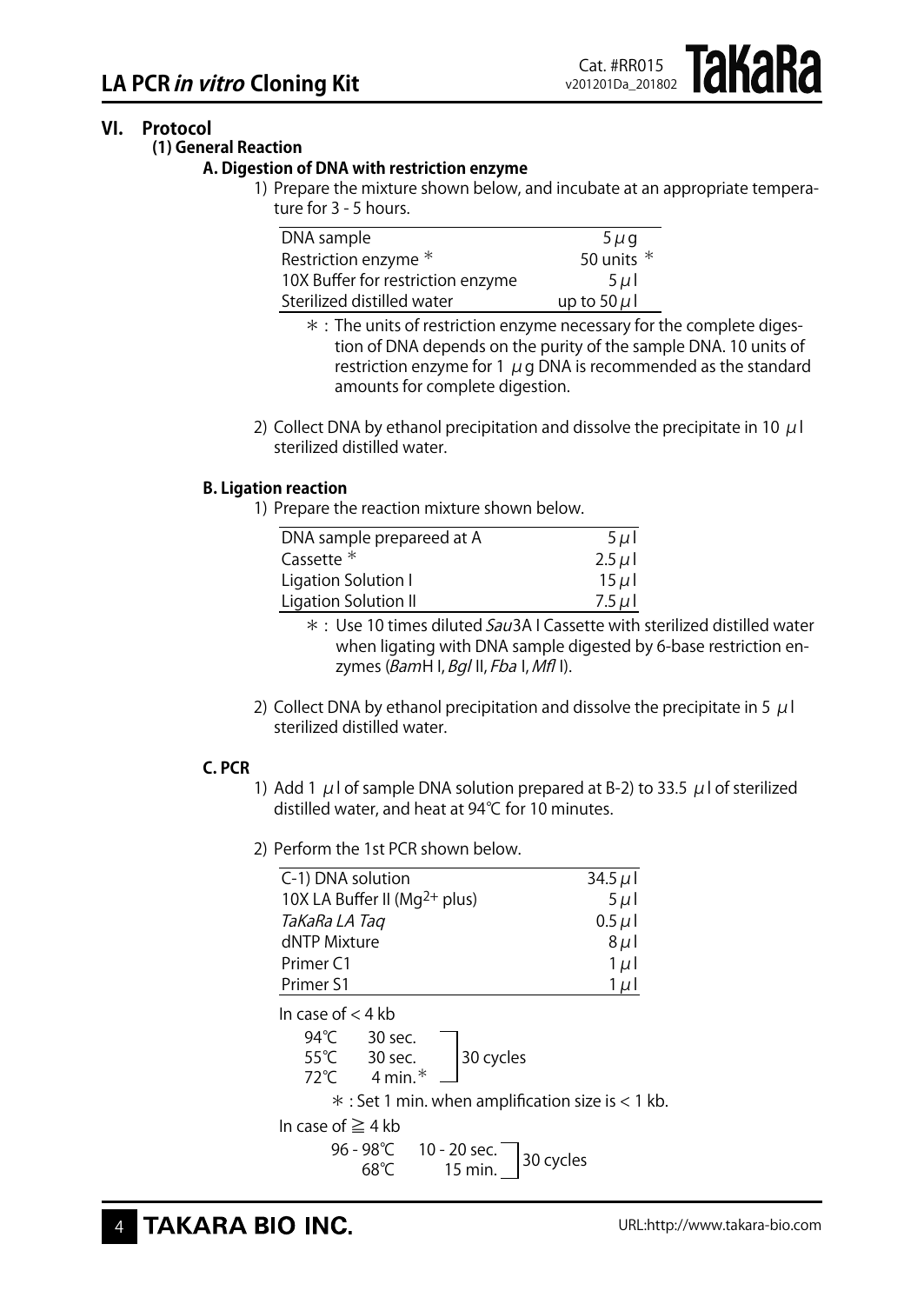## **VI. Protocol**

**(1) General Reaction**

#### **A. Digestion of DNA with restriction enzyme**

1) Prepare the mixture shown below, and incubate at an appropriate temperature for 3 - 5 hours.

| DNA sample                        | $5\mu$ g         |
|-----------------------------------|------------------|
| Restriction enzyme *              | 50 units $*$     |
| 10X Buffer for restriction enzyme | $5 \mu$          |
| Sterilized distilled water        | up to 50 $\mu$ l |

- $*$  : The units of restriction enzyme necessary for the complete digestion of DNA depends on the purity of the sample DNA. 10 units of restriction enzyme for 1  $\mu$  g DNA is recommended as the standard amounts for complete digestion.
- 2) Collect DNA by ethanol precipitation and dissolve the precipitate in 10  $\mu$ l sterilized distilled water.

## **B. Ligation reaction**

1) Prepare the reaction mixture shown below.

| DNA sample prepareed at A | $5 \mu$   |
|---------------------------|-----------|
| Cassette *                | $2.5 \mu$ |
| Ligation Solution I       | $15 \mu$  |
| Ligation Solution II      | $7.5 \mu$ |

- $*$  : Use 10 times diluted Sau3A I Cassette with sterilized distilled water when ligating with DNA sample digested by 6-base restriction enzymes  $(BamH I, Bgl II, Fba I, Mfl I).$
- 2) Collect DNA by ethanol precipitation and dissolve the precipitate in 5  $\mu$  l sterilized distilled water.

#### **C. PCR**

- 1) Add 1  $\mu$  l of sample DNA solution prepared at B-2) to 33.5  $\mu$  l of sterilized distilled water, and heat at 94℃ for 10 minutes.
- 2) Perform the 1st PCR shown below

| C-1) DNA solution                  | 34.5 $\mu$ |
|------------------------------------|------------|
| 10X LA Buffer II ( $Mq^{2+}$ plus) | $5 \mu$    |
| TaKaRa LA Tag                      | $0.5 \mu$  |
| dNTP Mixture                       | $8\,\mu$   |
| Primer <sub>C1</sub>               | $1 \mu$    |
| Primer S1                          | $1 \mu$    |

| In case of $<$ 4 kb                               |  |                                                                  |  |
|---------------------------------------------------|--|------------------------------------------------------------------|--|
|                                                   |  | 94°C 30 sec.<br>55°C 30 sec. 30 cycles<br>72°C 4 min.* 30 cycles |  |
|                                                   |  |                                                                  |  |
|                                                   |  |                                                                  |  |
| * : Set 1 min. when amplification size is < 1 kb. |  |                                                                  |  |
| In case of $\geq$ 4 kb                            |  |                                                                  |  |
|                                                   |  | 96 - 98°C 10 - 20 sec. 30 cycles<br>68°C 15 min. 30 cycles       |  |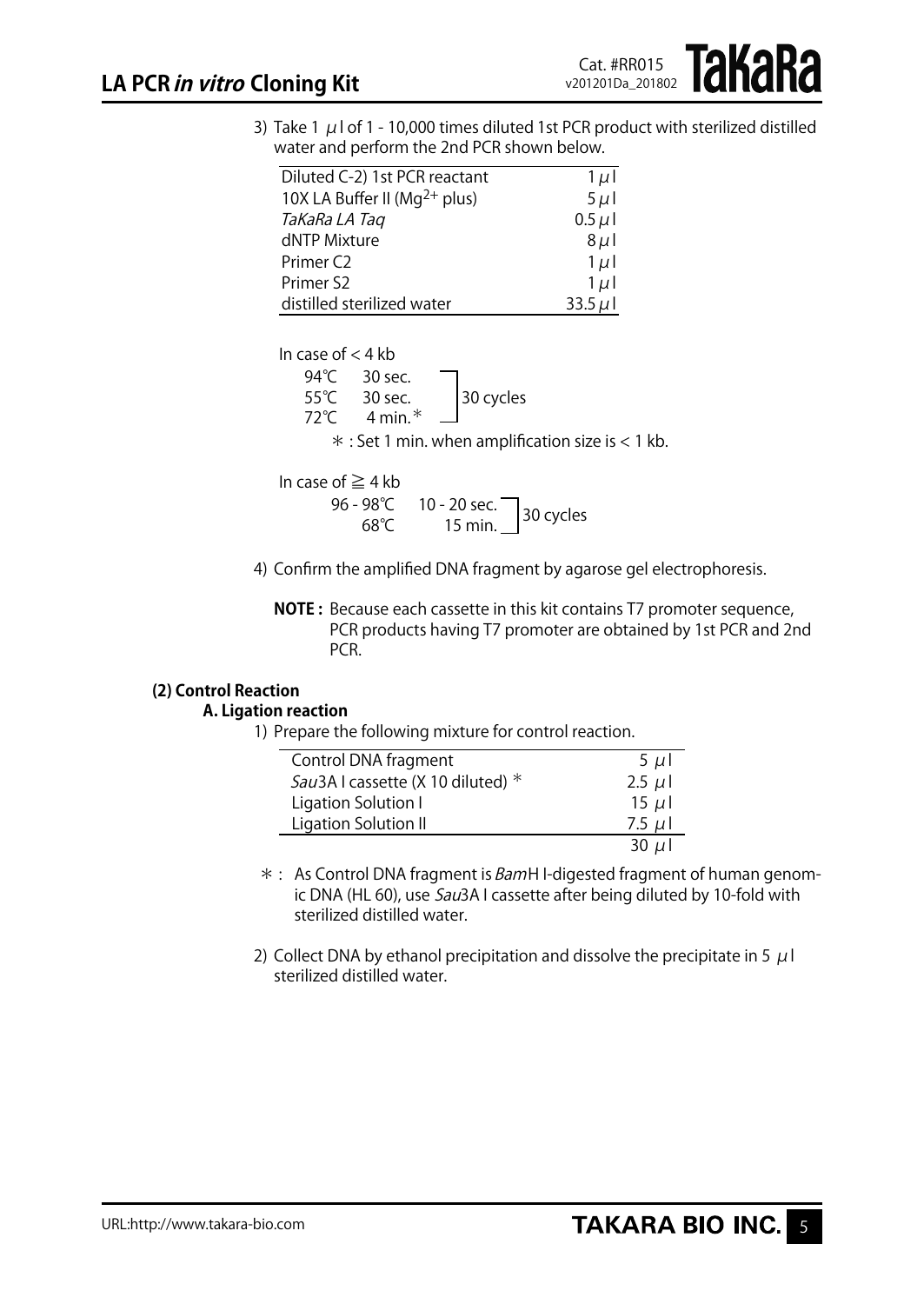3) Take 1  $\mu$  l of 1 - 10,000 times diluted 1st PCR product with sterilized distilled water and perform the 2nd PCR shown below.

| Diluted C-2) 1st PCR reactant            | $1 \mu$    |
|------------------------------------------|------------|
| 10X LA Buffer II (Mg <sup>2+</sup> plus) | $5 \mu$    |
| TaKaRa LA Tag                            | $0.5 \mu$  |
| dNTP Mixture                             | $8\mu$     |
| Primer C <sub>2</sub>                    | $1 \mu$    |
| Primer S2                                | $1 \mu$    |
| distilled sterilized water               | $33.5 \mu$ |

| In case of $<$ 4 kb |                        |           |  |
|---------------------|------------------------|-----------|--|
|                     | 94 °C 30 sec.          |           |  |
|                     | $55^{\circ}$ C 30 sec. | 30 cycles |  |

55℃ 30 sec. 30 cycles 72℃ 4 min.\*  $*$  : Set 1 min. when amplification size is  $<$  1 kb.

In case of  $\geq 4$  kb

- 96 98℃ 10 20 sec.<br>68℃ 15 min. 30 cycles
- 4) Confirm the amplified DNA fragment by agarose gel electrophoresis.
	- **NOTE :** Because each cassette in this kit contains T7 promoter sequence, PCR products having T7 promoter are obtained by 1st PCR and 2nd PCR.

## **(2) Control Reaction**

## **A. Ligation reaction**

1) Prepare the following mixture for control reaction.

| Control DNA fragment                | $5 \mu$   |
|-------------------------------------|-----------|
| Sau3A I cassette (X 10 diluted) $*$ | $2.5 \mu$ |
| Ligation Solution I                 | $15 \mu$  |
| Ligation Solution II                | 7.5 $\mu$ |
|                                     | 30 $\mu$  |

- \* : As Control DNA fragment is *Bam*H I-digested fragment of human genomic DNA (HL 60), use Sau3A I cassette after being diluted by 10-fold with sterilized distilled water.
- 2) Collect DNA by ethanol precipitation and dissolve the precipitate in 5  $\mu$  l sterilized distilled water.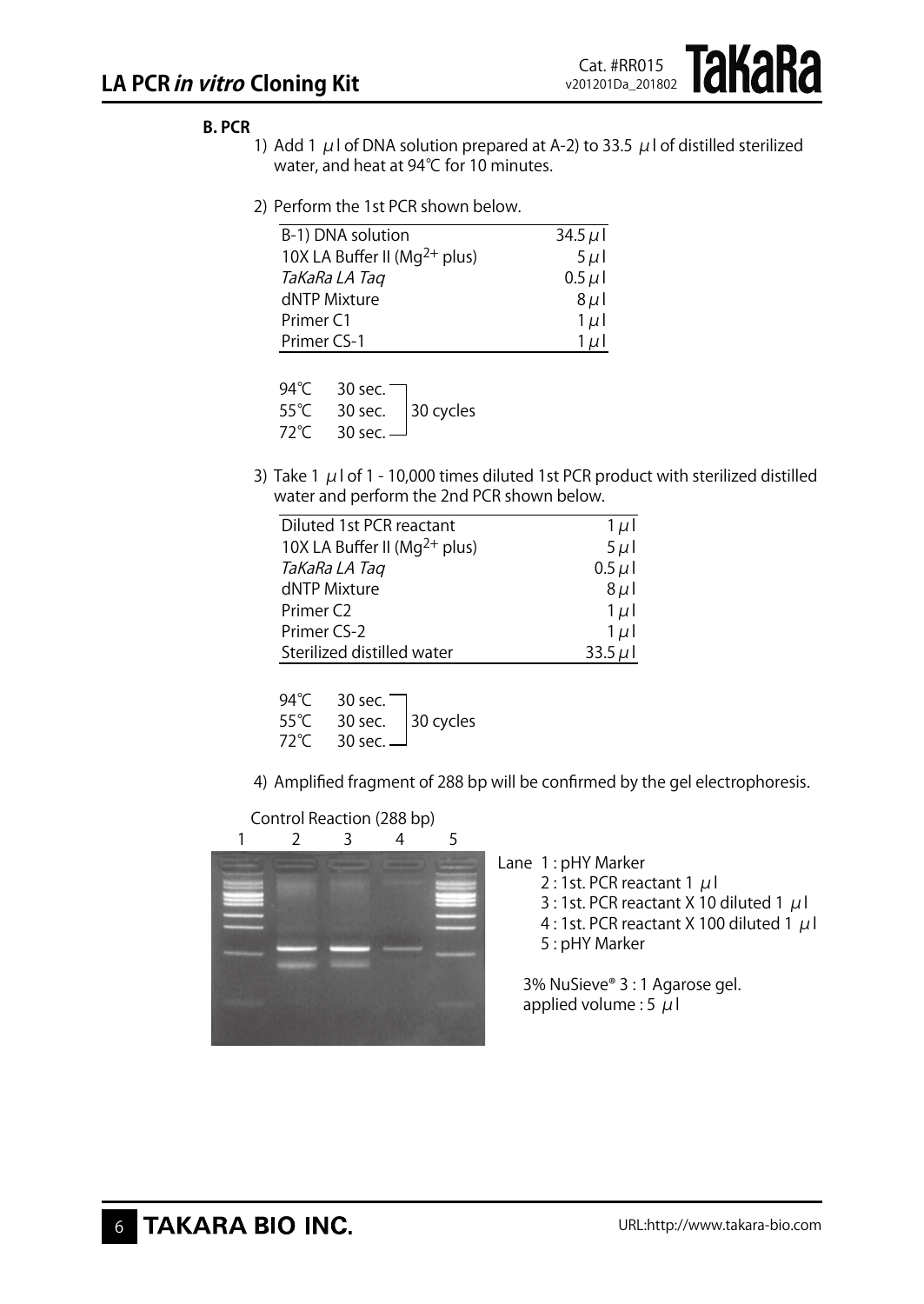## **B. PCR**

- 1) Add 1  $\mu$ I of DNA solution prepared at A-2) to 33.5  $\mu$ I of distilled sterilized water, and heat at 94℃ for 10 minutes.
- 2) Perform the 1st PCR shown below.

| B-1) DNA solution                  | 34.5 $\mu$ |
|------------------------------------|------------|
| 10X LA Buffer II ( $Mq^{2+}$ plus) | $5 \mu$    |
| TaKaRa LA Tag                      | $0.5 \mu$  |
| dNTP Mixture                       | $8\mu$     |
| Primer <sub>C1</sub>               | $1 \mu$    |
| Primer CS-1                        | $1 \mu$    |

94°C 30 sec. 55℃ 30 sec. 30 cycles<br>72℃ 30 sec. 30 sec. -

3) Take 1  $\mu$  l of 1 - 10,000 times diluted 1st PCR product with sterilized distilled water and perform the 2nd PCR shown below.

| Diluted 1st PCR reactant           | $1 \mu$    |
|------------------------------------|------------|
| 10X LA Buffer II ( $Mq^{2+}$ plus) | $5 \mu$    |
| TaKaRa LA Tag                      | $0.5 \mu$  |
| dNTP Mixture                       | $8\mu$     |
| Primer C <sub>2</sub>              | $1 \mu$    |
| Primer CS-2                        | $1 \mu$    |
| Sterilized distilled water         | 33.5 $\mu$ |

| 94°C | 30 sec. $\blacksquare$ |                               |
|------|------------------------|-------------------------------|
| 55°C |                        | 30 sec. $ 30 \text{ cycles} $ |
| 72°C | 30 sec. $\Box$         |                               |

4) Amplified fragment of 288 bp will be confirmed by the gel electrophoresis.

Control Reaction (288 bp)



Lane 1: pHY Marker

- 2 : 1st. PCR reactant 1  $\mu$ I
- 3 : 1st. PCR reactant X 10 diluted 1  $\mu$ l
- 4 : 1st. PCR reactant X 100 diluted 1  $\mu$ l 5 : pHY Marker

3% NuSieve® 3 : 1 Agarose gel. applied volume : 5  $\mu$ l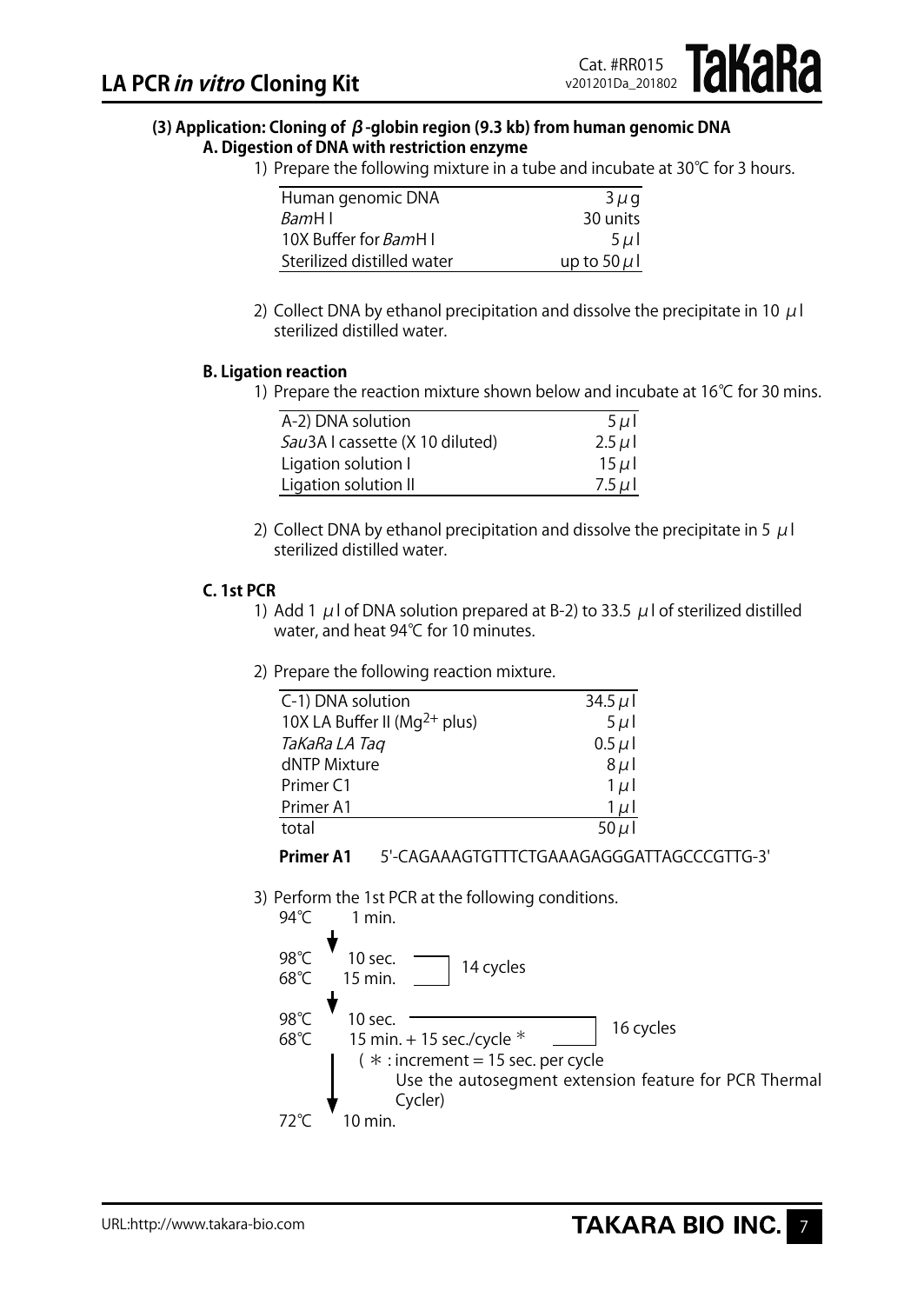## **(3) Application: Cloning of β-globin region (9.3 kb) from human genomic DNA**

- **A. Digestion of DNA with restriction enzyme**
	- 1) Prepare the following mixture in a tube and incubate at 30℃ for 3 hours.

Cat. #RR015 v201201Da\_201802 akaka

| Human genomic DNA             | $3\mu$ g         |
|-------------------------------|------------------|
| <i>Bam</i> H I                | 30 units         |
| 10X Buffer for <i>Bam</i> H I | $5 \mu$          |
| Sterilized distilled water    | up to 50 $\mu$ l |

2) Collect DNA by ethanol precipitation and dissolve the precipitate in 10  $\mu$ l sterilized distilled water.

## **B. Ligation reaction**

1) Prepare the reaction mixture shown below and incubate at 16°C for 30 mins.

| A-2) DNA solution               | $5 \mu$   |
|---------------------------------|-----------|
| Sau3A I cassette (X 10 diluted) | $2.5 \mu$ |
| Ligation solution I             | $15 \mu$  |
| Ligation solution II            | $7.5 \mu$ |

2) Collect DNA by ethanol precipitation and dissolve the precipitate in 5  $\mu$  l sterilized distilled water.

## **C. 1st PCR**

- 1) Add 1  $\mu$  l of DNA solution prepared at B-2) to 33.5  $\mu$  l of sterilized distilled water, and heat 94℃ for 10 minutes.
- 2) Prepare the following reaction mixture.

| C-1) DNA solution                  | 34.5 $\mu$ |
|------------------------------------|------------|
| 10X LA Buffer II ( $Mq^{2+}$ plus) | $5 \mu$    |
| TaKaRa LA Tag                      | $0.5 \mu$  |
| dNTP Mixture                       | $8\mu$     |
| Primer C1                          | $1 \mu$    |
| Primer A1                          | $1 \mu$    |
| total                              | 50 $\mu$ l |

| <b>Primer A1</b> | 5'-CAGAAAGTGTTTCTGAAAGAGGGATTAGCCCGTTG-3' |
|------------------|-------------------------------------------|
|------------------|-------------------------------------------|

3) Perform the 1st PCR at the following conditions.

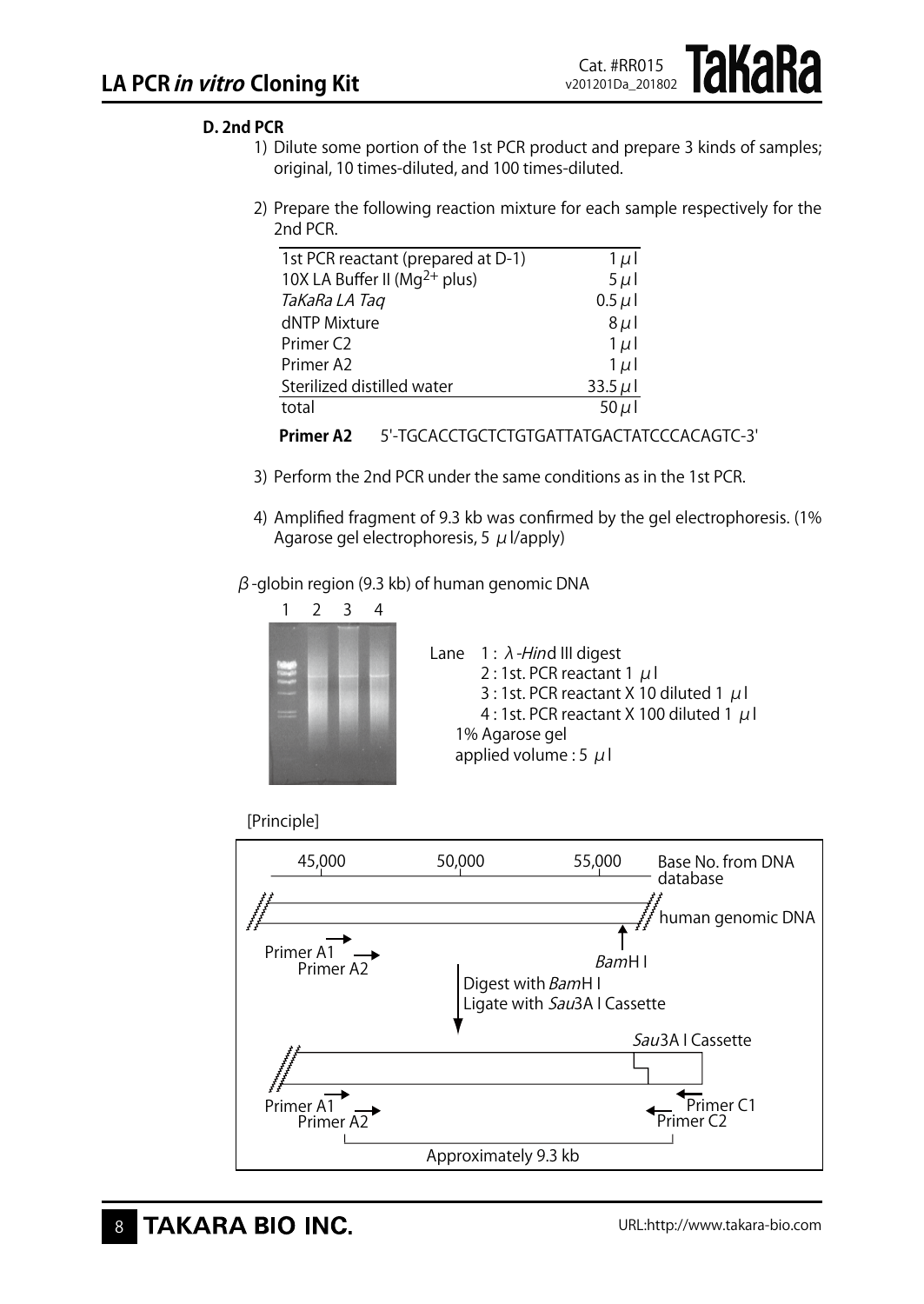## **D. 2nd PCR**

- 1) Dilute some portion of the 1st PCR product and prepare 3 kinds of samples; original, 10 times-diluted, and 100 times-diluted.
- 2) Prepare the following reaction mixture for each sample respectively for the 2nd PCR.

| 1st PCR reactant (prepared at D-1)       | $1 \mu$      |
|------------------------------------------|--------------|
| 10X LA Buffer II (Mg <sup>2+</sup> plus) | $5 \mu$      |
| TaKaRa LA Taq                            | $0.5 \mu$    |
| dNTP Mixture                             | $8\mu$       |
| Primer <sub>C2</sub>                     | $1 \mu$      |
| Primer A2                                | $1 \mu$      |
| Sterilized distilled water               | 33.5 $\mu$ l |
| total                                    | $50 \mu$     |
|                                          |              |



- 3) Perform the 2nd PCR under the same conditions as in the 1st PCR.
- 4) Amplified fragment of 9.3 kb was confirmed by the gel electrophoresis. (1% Agarose gel electrophoresis, 5  $\mu$  l/apply)

#### $β$ -globin region (9.3 kb) of human genomic DNA







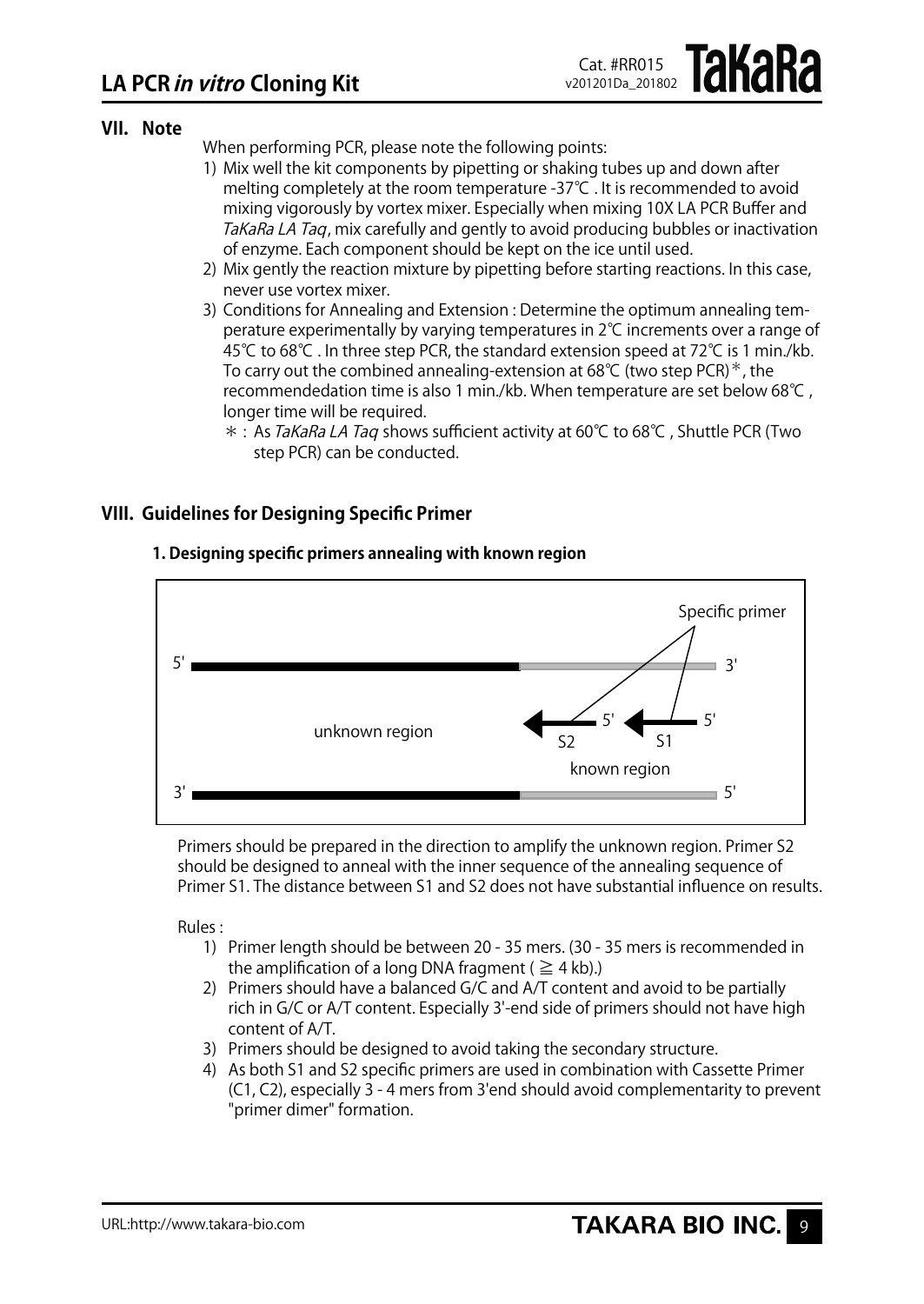## **VII. Note**

When performing PCR, please note the following points:

- 1) Mix well the kit components by pipetting or shaking tubes up and down after melting completely at the room temperature -37℃ . It is recommended to avoid mixing vigorously by vortex mixer. Especially when mixing 10X LA PCR Buffer and TaKaRa LA Taq, mix carefully and gently to avoid producing bubbles or inactivation of enzyme. Each component should be kept on the ice until used.
- 2) Mix gently the reaction mixture by pipetting before starting reactions. In this case, never use vortex mixer.
- 3) Conditions for Annealing and Extension : Determine the optimum annealing temperature experimentally by varying temperatures in 2℃ increments over a range of 45℃ to 68℃ . In three step PCR, the standard extension speed at 72℃ is 1 min./kb. To carry out the combined annealing-extension at 68°C (two step PCR)<sup>\*</sup>, the recommendedation time is also 1 min./kb. When temperature are set below 68℃ , longer time will be required.
	- \* : As TaKaRa LA Tag shows sufficient activity at 60°C to 68°C, Shuttle PCR (Two step PCR) can be conducted.

## **VIII. Guidelines for Designing Specific Primer**



## **1. Designing specific primers annealing with known region**

Primers should be prepared in the direction to amplify the unknown region. Primer S2 should be designed to anneal with the inner sequence of the annealing sequence of Primer S1. The distance between S1 and S2 does not have substantial influence on results.

Rules :

- 1) Primer length should be between 20 35 mers. (30 35 mers is recommended in the amplification of a long DNA fragment ( $\geq 4$  kb).)
- 2) Primers should have a balanced G/C and A/T content and avoid to be partially rich in G/C or A/T content. Especially 3'-end side of primers should not have high content of A/T.
- 3) Primers should be designed to avoid taking the secondary structure.
- 4) As both S1 and S2 specific primers are used in combination with Cassette Primer (C1, C2), especially 3 - 4 mers from 3'end should avoid complementarity to prevent "primer dimer" formation.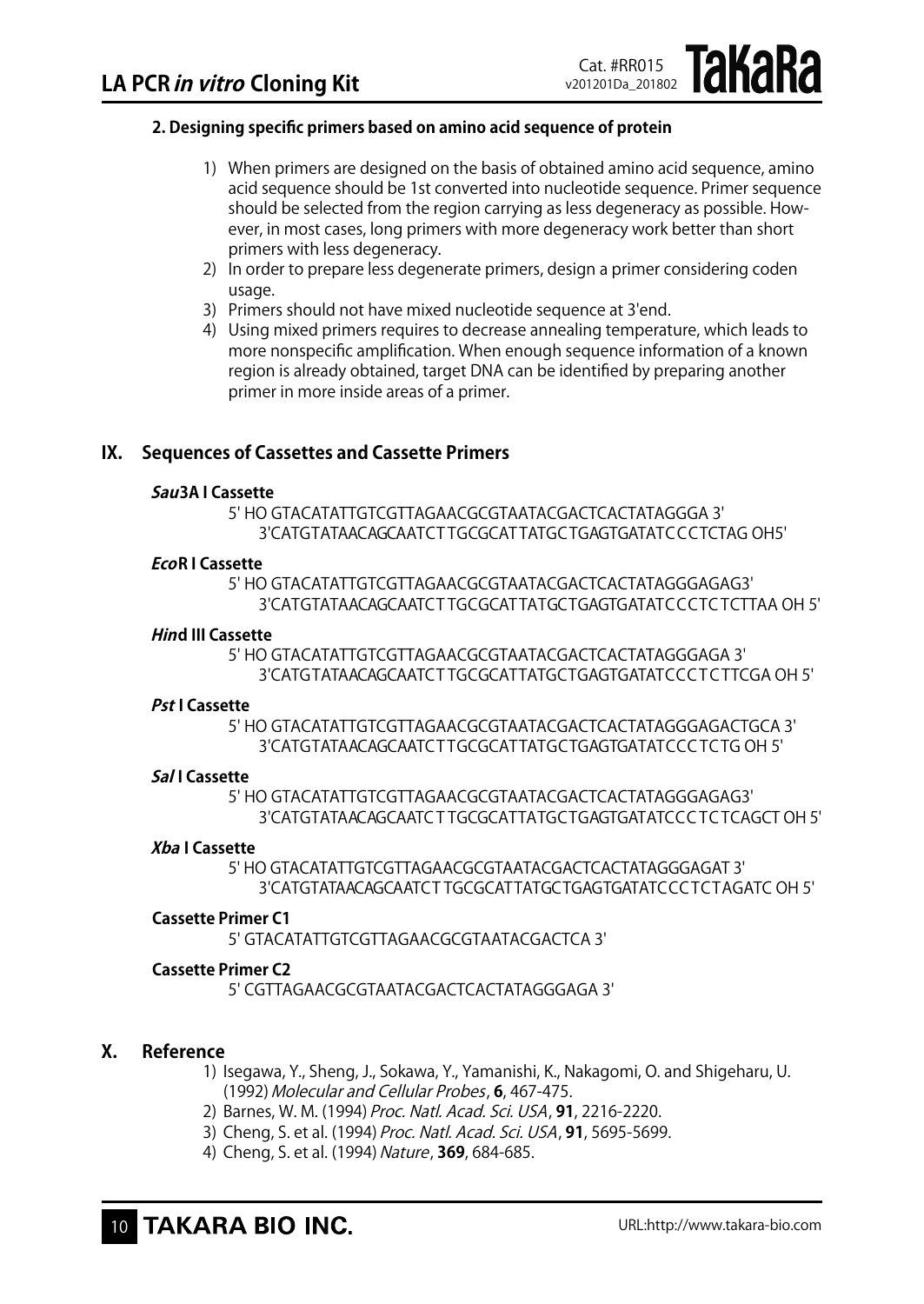### **2. Designing specific primers based on amino acid sequence of protein**

1) When primers are designed on the basis of obtained amino acid sequence, amino acid sequence should be 1st converted into nucleotide sequence. Primer sequence should be selected from the region carrying as less degeneracy as possible. However, in most cases, long primers with more degeneracy work better than short primers with less degeneracy.

Cat. #RR015 v201201Da\_201802 **IAKARA** 

- 2) In order to prepare less degenerate primers, design a primer considering coden usage.
- 3) Primers should not have mixed nucleotide sequence at 3'end.
- 4) Using mixed primers requires to decrease annealing temperature, which leads to more nonspecific amplification. When enough sequence information of a known region is already obtained, target DNA can be identified by preparing another primer in more inside areas of a primer.

## **IX. Sequences of Cassettes and Cassette Primers**

#### **Sau3A I Cassette**

5' HO GTACATATTGTCGTTAGAACGCGTAATACGACTCACTATAGGGA 3' 3'CATGTATAACAGCAATCT TGCGCAT TATGCTGAGTGATATCCCTCTAG OH5'

#### **EcoR I Cassette**

5' HO GTACATATTGTCGTTAGAACGCGTAATACGACTCACTATAGGGAGAG3' 3'CATGTATAACAGCAATCT TGCGCATTATGCTGAGTGATATCCCTC TCTTAA OH 5'

#### **Hind III Cassette**

5' HO GTACATATTGTCGTTAGAACGCGTAATACGACTCACTATAGGGAGA 3' 3'CATGTATAACAGCAATCT TGCGCATTATGCTGAGTGATATCCC T C TTCGA OH 5'

#### **Pst I Cassette**

5' HO GTACATATTGTCGTTAGAACGCGTAATACGACTCACTATAGGGAGACTGCA 3' 3'CATGTATAACAGCAATCT TGCGCATTATGCTGAGTGATATCCC TCTG OH 5'

#### **Sal I Cassette**

5' HO GTACATATTGTCGTTAGAACGCGTAATACGACTCACTATAGGGAGAG3' 3'CATGTATAACAGCAATC T TGCGCATTATGCTGAGTGATATCCC TC TCAGCT OH 5'

#### **Xba I Cassette**

5' HO GTACATATTGTCGTTAGAACGCGTAATACGACTCACTATAGGGAGAT 3' 3'CATGTATAACAGCAATCT TGCGCATTATGCTGAGTGATATCCC TCTAGATC OH 5'

### **Cassette Primer C1**

5' GTACATATTGTCGTTAGAACGCGTAATACGACTCA 3'

#### **Cassette Primer C2**

5' CGTTAGAACGCGTAATACGACTCACTATAGGGAGA 3'

## **X. Reference**

- 1) Isegawa, Y., Sheng, J., Sokawa, Y., Yamanishi, K., Nakagomi, O. and Shigeharu, U. (1992)Molecular and Cellular Probes, **6**, 467-475.
- 2) Barnes, W. M. (1994) Proc. Natl. Acad. Sci. USA, **91**, 2216-2220.
- 3) Cheng, S. et al. (1994) Proc. Natl. Acad. Sci. USA, **91**, 5695-5699.
- 4) Cheng, S. et al. (1994) Nature, 369, 684-685.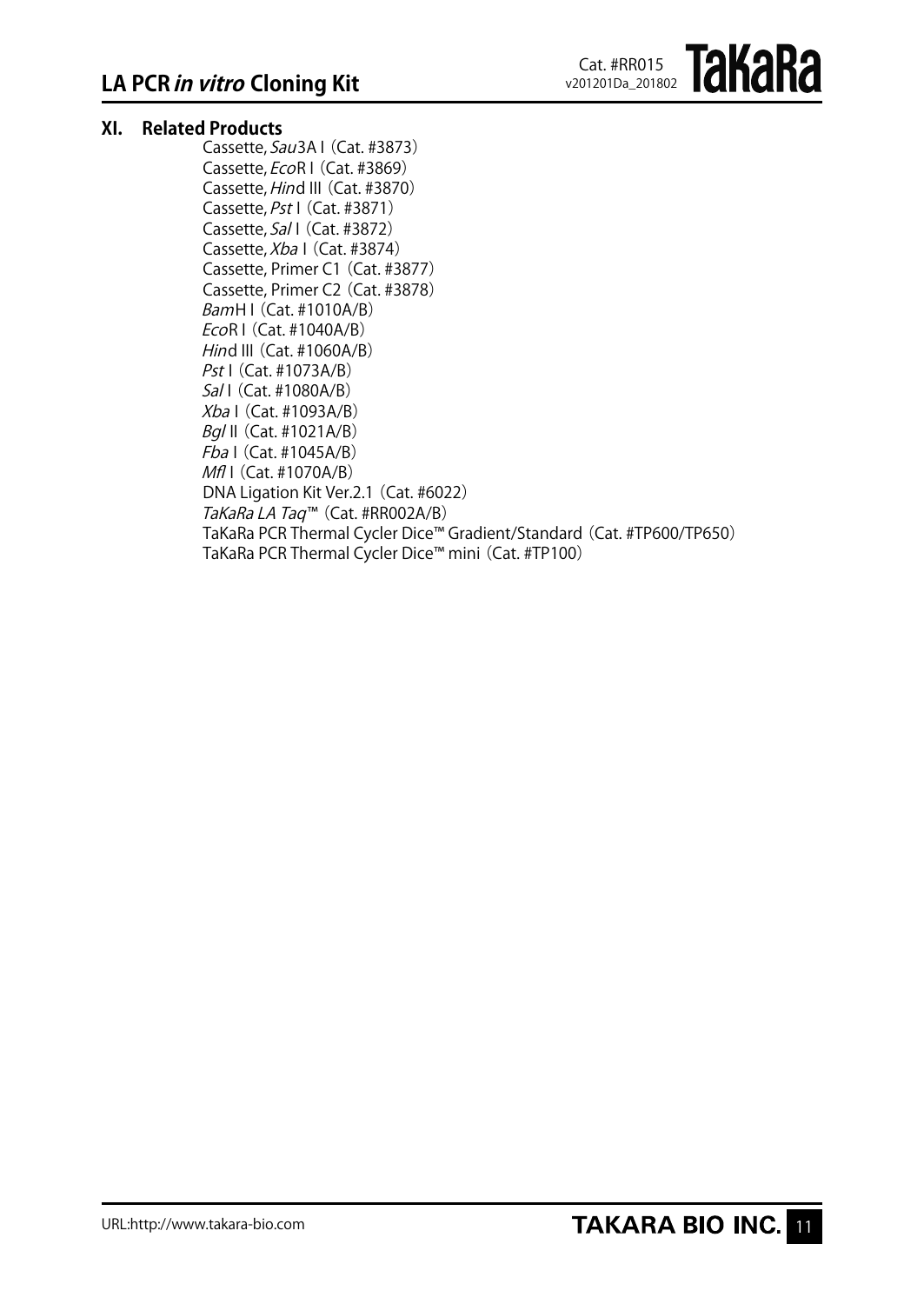## **XI. Related Products**

Cassette, Sau3A I (Cat. #3873) Cassette, EcoR I (Cat. #3869) Cassette, Hind III (Cat. #3870) Cassette, Pst I (Cat. #3871) Cassette, Sal I (Cat. #3872) Cassette, Xba I (Cat. #3874) Cassette, Primer C1(Cat. #3877) Cassette, Primer C2(Cat. #3878) BamH I(Cat. #1010A/B)  $EcoR$  I (Cat. #1040A/B) Hind III (Cat. #1060A/B) Pst I (Cat. #1073A/B) Sal I (Cat. #1080A/B) Xba I(Cat. #1093A/B) Bgl II(Cat. #1021A/B)  $Fba$  I (Cat. #1045A/B) Mfl I (Cat. #1070A/B) DNA Ligation Kit Ver.2.1 (Cat. #6022) TaKaRa LA Taq™ (Cat. #RR002A/B) TaKaRa PCR Thermal Cycler Dice™ Gradient/Standard (Cat. #TP600/TP650) TaKaRa PCR Thermal Cycler Dice™ mini(Cat. #TP100)